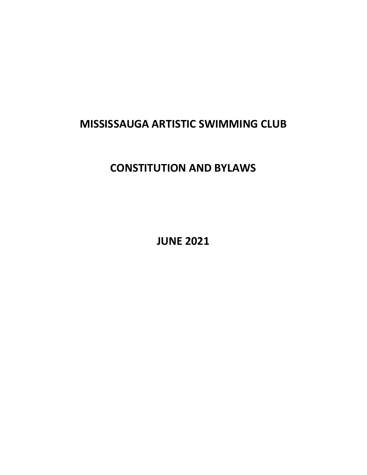# MISSISSAUGA ARTISTIC SWIMMING CLUB

# CONSTITUTION AND BYLAWS

JUNE 2021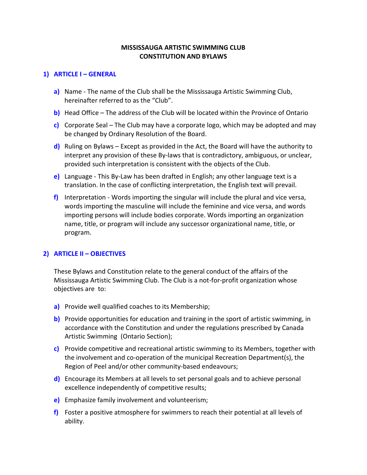# MISSISSAUGA ARTISTIC SWIMMING CLUB CONSTITUTION AND BYLAWS

# 1) ARTICLE I – GENERAL

- a) Name The name of the Club shall be the Mississauga Artistic Swimming Club, hereinafter referred to as the "Club".
- b) Head Office The address of the Club will be located within the Province of Ontario
- c) Corporate Seal The Club may have a corporate logo, which may be adopted and may be changed by Ordinary Resolution of the Board.
- d) Ruling on Bylaws Except as provided in the Act, the Board will have the authority to interpret any provision of these By-laws that is contradictory, ambiguous, or unclear, provided such interpretation is consistent with the objects of the Club.
- e) Language This By-Law has been drafted in English; any other language text is a translation. In the case of conflicting interpretation, the English text will prevail.
- f) Interpretation Words importing the singular will include the plural and vice versa, words importing the masculine will include the feminine and vice versa, and words importing persons will include bodies corporate. Words importing an organization name, title, or program will include any successor organizational name, title, or program.

# 2) ARTICLE II – OBJECTIVES

These Bylaws and Constitution relate to the general conduct of the affairs of the Mississauga Artistic Swimming Club. The Club is a not-for-profit organization whose objectives are to:

- a) Provide well qualified coaches to its Membership;
- b) Provide opportunities for education and training in the sport of artistic swimming, in accordance with the Constitution and under the regulations prescribed by Canada Artistic Swimming (Ontario Section);
- c) Provide competitive and recreational artistic swimming to its Members, together with the involvement and co-operation of the municipal Recreation Department(s), the Region of Peel and/or other community-based endeavours;
- d) Encourage its Members at all levels to set personal goals and to achieve personal excellence independently of competitive results;
- e) Emphasize family involvement and volunteerism;
- f) Foster a positive atmosphere for swimmers to reach their potential at all levels of ability.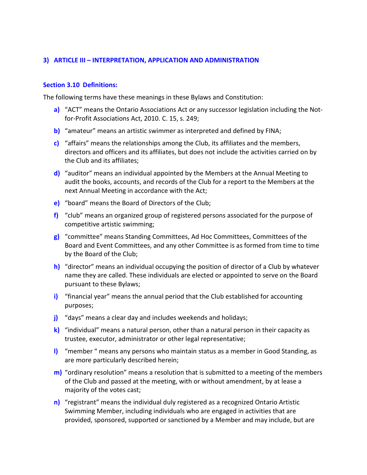## 3) ARTICLE III – INTERPRETATION, APPLICATION AND ADMINISTRATION

#### Section 3.10 Definitions:

The following terms have these meanings in these Bylaws and Constitution:

- a) "ACT" means the Ontario Associations Act or any successor legislation including the Notfor-Profit Associations Act, 2010. C. 15, s. 249;
- b) "amateur" means an artistic swimmer as interpreted and defined by FINA;
- c) "affairs" means the relationships among the Club, its affiliates and the members, directors and officers and its affiliates, but does not include the activities carried on by the Club and its affiliates;
- d) "auditor" means an individual appointed by the Members at the Annual Meeting to audit the books, accounts, and records of the Club for a report to the Members at the next Annual Meeting in accordance with the Act;
- e) "board" means the Board of Directors of the Club;
- f) "club" means an organized group of registered persons associated for the purpose of competitive artistic swimming;
- g) "committee" means Standing Committees, Ad Hoc Committees, Committees of the Board and Event Committees, and any other Committee is as formed from time to time by the Board of the Club;
- h) "director" means an individual occupying the position of director of a Club by whatever name they are called. These individuals are elected or appointed to serve on the Board pursuant to these Bylaws;
- i) "financial year" means the annual period that the Club established for accounting purposes;
- j) "days" means a clear day and includes weekends and holidays;
- k) "individual" means a natural person, other than a natural person in their capacity as trustee, executor, administrator or other legal representative;
- l) "member " means any persons who maintain status as a member in Good Standing, as are more particularly described herein;
- m) "ordinary resolution" means a resolution that is submitted to a meeting of the members of the Club and passed at the meeting, with or without amendment, by at lease a majority of the votes cast;
- n) "registrant" means the individual duly registered as a recognized Ontario Artistic Swimming Member, including individuals who are engaged in activities that are provided, sponsored, supported or sanctioned by a Member and may include, but are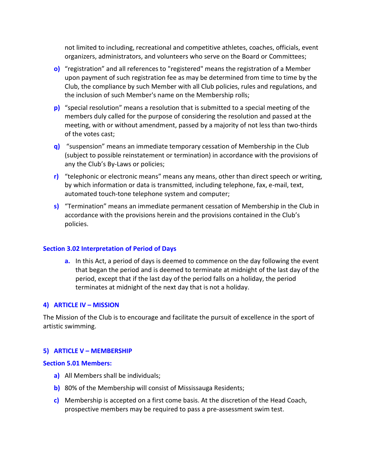not limited to including, recreational and competitive athletes, coaches, officials, event organizers, administrators, and volunteers who serve on the Board or Committees;

- o) "registration" and all references to "registered" means the registration of a Member upon payment of such registration fee as may be determined from time to time by the Club, the compliance by such Member with all Club policies, rules and regulations, and the inclusion of such Member's name on the Membership rolls;
- p) "special resolution" means a resolution that is submitted to a special meeting of the members duly called for the purpose of considering the resolution and passed at the meeting, with or without amendment, passed by a majority of not less than two-thirds of the votes cast;
- q) "suspension" means an immediate temporary cessation of Membership in the Club (subject to possible reinstatement or termination) in accordance with the provisions of any the Club's By-Laws or policies;
- r) "telephonic or electronic means" means any means, other than direct speech or writing, by which information or data is transmitted, including telephone, fax, e-mail, text, automated touch-tone telephone system and computer;
- s) "Termination" means an immediate permanent cessation of Membership in the Club in accordance with the provisions herein and the provisions contained in the Club's policies.

## Section 3.02 Interpretation of Period of Days

a. In this Act, a period of days is deemed to commence on the day following the event that began the period and is deemed to terminate at midnight of the last day of the period, except that if the last day of the period falls on a holiday, the period terminates at midnight of the next day that is not a holiday.

## 4) ARTICLE IV – MISSION

The Mission of the Club is to encourage and facilitate the pursuit of excellence in the sport of artistic swimming.

# 5) ARTICLE V – MEMBERSHIP

## Section 5.01 Members:

- a) All Members shall be individuals;
- b) 80% of the Membership will consist of Mississauga Residents;
- c) Membership is accepted on a first come basis. At the discretion of the Head Coach, prospective members may be required to pass a pre-assessment swim test.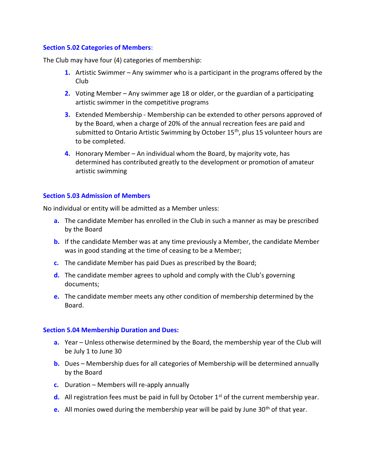#### Section 5.02 Categories of Members:

The Club may have four (4) categories of membership:

- 1. Artistic Swimmer Any swimmer who is a participant in the programs offered by the Club
- 2. Voting Member Any swimmer age 18 or older, or the guardian of a participating artistic swimmer in the competitive programs
- **3.** Extended Membership Membership can be extended to other persons approved of by the Board, when a charge of 20% of the annual recreation fees are paid and submitted to Ontario Artistic Swimming by October  $15<sup>th</sup>$ , plus 15 volunteer hours are to be completed.
- **4.** Honorary Member An individual whom the Board, by majority vote, has determined has contributed greatly to the development or promotion of amateur artistic swimming

## Section 5.03 Admission of Members

No individual or entity will be admitted as a Member unless:

- a. The candidate Member has enrolled in the Club in such a manner as may be prescribed by the Board
- b. If the candidate Member was at any time previously a Member, the candidate Member was in good standing at the time of ceasing to be a Member;
- c. The candidate Member has paid Dues as prescribed by the Board;
- d. The candidate member agrees to uphold and comply with the Club's governing documents;
- e. The candidate member meets any other condition of membership determined by the Board.

## Section 5.04 Membership Duration and Dues:

- a. Year Unless otherwise determined by the Board, the membership year of the Club will be July 1 to June 30
- b. Dues Membership dues for all categories of Membership will be determined annually by the Board
- c. Duration Members will re-apply annually
- d. All registration fees must be paid in full by October  $1<sup>st</sup>$  of the current membership year.
- e. All monies owed during the membership year will be paid by June  $30<sup>th</sup>$  of that year.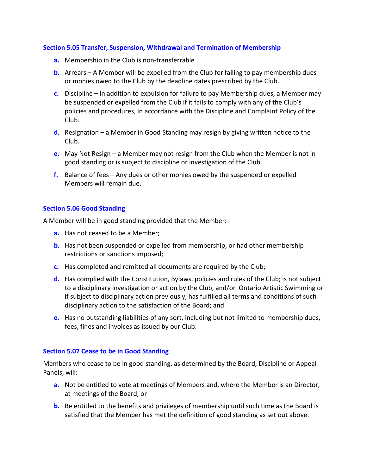#### Section 5.05 Transfer, Suspension, Withdrawal and Termination of Membership

- a. Membership in the Club is non-transferrable
- **b.** Arrears A Member will be expelled from the Club for failing to pay membership dues or monies owed to the Club by the deadline dates prescribed by the Club.
- c. Discipline In addition to expulsion for failure to pay Membership dues, a Member may be suspended or expelled from the Club if it fails to comply with any of the Club's policies and procedures, in accordance with the Discipline and Complaint Policy of the Club.
- **d.** Resignation a Member in Good Standing may resign by giving written notice to the Club.
- e. May Not Resign a Member may not resign from the Club when the Member is not in good standing or is subject to discipline or investigation of the Club.
- f. Balance of fees  $-$  Any dues or other monies owed by the suspended or expelled Members will remain due.

## Section 5.06 Good Standing

A Member will be in good standing provided that the Member:

- a. Has not ceased to be a Member:
- **b.** Has not been suspended or expelled from membership, or had other membership restrictions or sanctions imposed;
- c. Has completed and remitted all documents are required by the Club;
- d. Has complied with the Constitution, Bylaws, policies and rules of the Club; is not subject to a disciplinary investigation or action by the Club, and/or Ontario Artistic Swimming or if subject to disciplinary action previously, has fulfilled all terms and conditions of such disciplinary action to the satisfaction of the Board; and
- e. Has no outstanding liabilities of any sort, including but not limited to membership dues, fees, fines and invoices as issued by our Club.

#### Section 5.07 Cease to be in Good Standing

Members who cease to be in good standing, as determined by the Board, Discipline or Appeal Panels, will:

- a. Not be entitled to vote at meetings of Members and, where the Member is an Director, at meetings of the Board, or
- **b.** Be entitled to the benefits and privileges of membership until such time as the Board is satisfied that the Member has met the definition of good standing as set out above.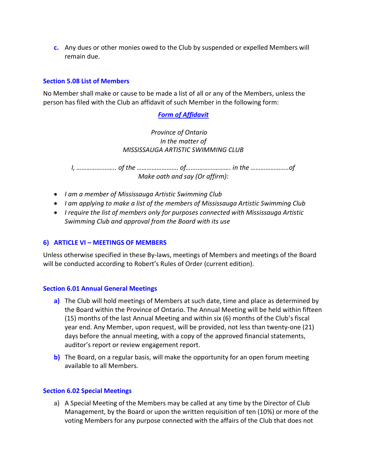c. Any dues or other monies owed to the Club by suspended or expelled Members will remain due.

# Section 5.08 List of Members

No Member shall make or cause to be made a list of all or any of the Members, unless the person has filed with the Club an affidavit of such Member in the following form:

# Form of Affidavit

# Province of Ontario In the matter of MISSISSAUGA ARTISTIC SWIMMING CLUB

I, …………….…….. of the ……………………. of……..………………. in the …………………..of Make oath and say (Or affirm):

- I am a member of Mississauga Artistic Swimming Club
- I am applying to make a list of the members of Mississauga Artistic Swimming Club
- I require the list of members only for purposes connected with Mississauga Artistic Swimming Club and approval from the Board with its use

# 6) ARTICLE VI – MEETINGS OF MEMBERS

Unless otherwise specified in these By-laws, meetings of Members and meetings of the Board will be conducted according to Robert's Rules of Order (current edition).

# Section 6.01 Annual General Meetings

- a) The Club will hold meetings of Members at such date, time and place as determined by the Board within the Province of Ontario. The Annual Meeting will be held within fifteen (15) months of the last Annual Meeting and within six (6) months of the Club's fiscal year end. Any Member, upon request, will be provided, not less than twenty-one (21) days before the annual meeting, with a copy of the approved financial statements, auditor's report or review engagement report.
- b) The Board, on a regular basis, will make the opportunity for an open forum meeting available to all Members.

## Section 6.02 Special Meetings

a) A Special Meeting of the Members may be called at any time by the Director of Club Management, by the Board or upon the written requisition of ten (10%) or more of the voting Members for any purpose connected with the affairs of the Club that does not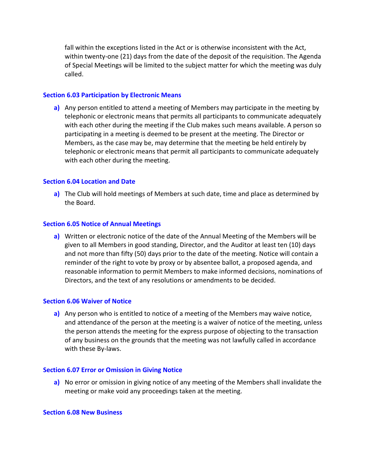fall within the exceptions listed in the Act or is otherwise inconsistent with the Act, within twenty-one (21) days from the date of the deposit of the requisition. The Agenda of Special Meetings will be limited to the subject matter for which the meeting was duly called.

#### Section 6.03 Participation by Electronic Means

a) Any person entitled to attend a meeting of Members may participate in the meeting by telephonic or electronic means that permits all participants to communicate adequately with each other during the meeting if the Club makes such means available. A person so participating in a meeting is deemed to be present at the meeting. The Director or Members, as the case may be, may determine that the meeting be held entirely by telephonic or electronic means that permit all participants to communicate adequately with each other during the meeting.

#### Section 6.04 Location and Date

a) The Club will hold meetings of Members at such date, time and place as determined by the Board.

#### Section 6.05 Notice of Annual Meetings

a) Written or electronic notice of the date of the Annual Meeting of the Members will be given to all Members in good standing, Director, and the Auditor at least ten (10) days and not more than fifty (50) days prior to the date of the meeting. Notice will contain a reminder of the right to vote by proxy or by absentee ballot, a proposed agenda, and reasonable information to permit Members to make informed decisions, nominations of Directors, and the text of any resolutions or amendments to be decided.

#### Section 6.06 Waiver of Notice

a) Any person who is entitled to notice of a meeting of the Members may waive notice, and attendance of the person at the meeting is a waiver of notice of the meeting, unless the person attends the meeting for the express purpose of objecting to the transaction of any business on the grounds that the meeting was not lawfully called in accordance with these By-laws.

#### Section 6.07 Error or Omission in Giving Notice

a) No error or omission in giving notice of any meeting of the Members shall invalidate the meeting or make void any proceedings taken at the meeting.

#### Section 6.08 New Business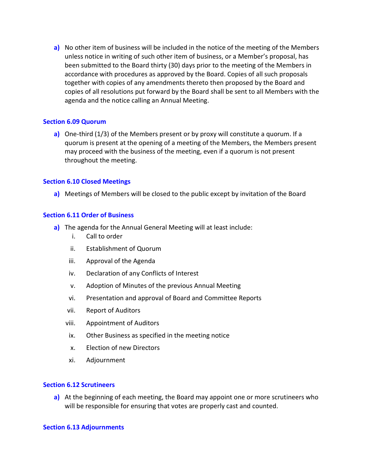a) No other item of business will be included in the notice of the meeting of the Members unless notice in writing of such other item of business, or a Member's proposal, has been submitted to the Board thirty (30) days prior to the meeting of the Members in accordance with procedures as approved by the Board. Copies of all such proposals together with copies of any amendments thereto then proposed by the Board and copies of all resolutions put forward by the Board shall be sent to all Members with the agenda and the notice calling an Annual Meeting.

#### Section 6.09 Quorum

a) One-third  $(1/3)$  of the Members present or by proxy will constitute a quorum. If a quorum is present at the opening of a meeting of the Members, the Members present may proceed with the business of the meeting, even if a quorum is not present throughout the meeting.

#### Section 6.10 Closed Meetings

a) Meetings of Members will be closed to the public except by invitation of the Board

#### Section 6.11 Order of Business

- a) The agenda for the Annual General Meeting will at least include:
	- i. Call to order
	- ii. Establishment of Quorum
	- iii. Approval of the Agenda
	- iv. Declaration of any Conflicts of Interest
	- v. Adoption of Minutes of the previous Annual Meeting
	- vi. Presentation and approval of Board and Committee Reports
	- vii. Report of Auditors
	- viii. Appointment of Auditors
	- ix. Other Business as specified in the meeting notice
	- x. Election of new Directors
	- xi. Adjournment

#### Section 6.12 Scrutineers

a) At the beginning of each meeting, the Board may appoint one or more scrutineers who will be responsible for ensuring that votes are properly cast and counted.

#### Section 6.13 Adjournments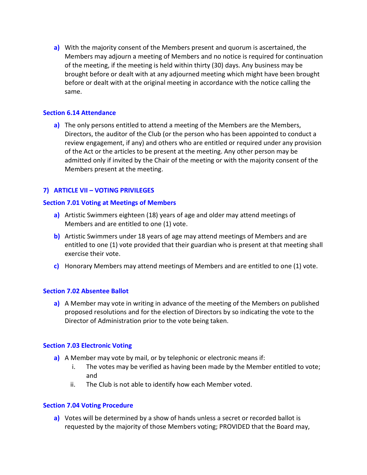a) With the majority consent of the Members present and quorum is ascertained, the Members may adjourn a meeting of Members and no notice is required for continuation of the meeting, if the meeting is held within thirty (30) days. Any business may be brought before or dealt with at any adjourned meeting which might have been brought before or dealt with at the original meeting in accordance with the notice calling the same.

## Section 6.14 Attendance

a) The only persons entitled to attend a meeting of the Members are the Members, Directors, the auditor of the Club (or the person who has been appointed to conduct a review engagement, if any) and others who are entitled or required under any provision of the Act or the articles to be present at the meeting. Any other person may be admitted only if invited by the Chair of the meeting or with the majority consent of the Members present at the meeting.

# 7) ARTICLE VII – VOTING PRIVILEGES

# Section 7.01 Voting at Meetings of Members

- a) Artistic Swimmers eighteen (18) years of age and older may attend meetings of Members and are entitled to one (1) vote.
- b) Artistic Swimmers under 18 years of age may attend meetings of Members and are entitled to one (1) vote provided that their guardian who is present at that meeting shall exercise their vote.
- c) Honorary Members may attend meetings of Members and are entitled to one  $(1)$  vote.

## Section 7.02 Absentee Ballot

a) A Member may vote in writing in advance of the meeting of the Members on published proposed resolutions and for the election of Directors by so indicating the vote to the Director of Administration prior to the vote being taken.

## Section 7.03 Electronic Voting

- a) A Member may vote by mail, or by telephonic or electronic means if:
	- i. The votes may be verified as having been made by the Member entitled to vote; and
	- ii. The Club is not able to identify how each Member voted.

## Section 7.04 Voting Procedure

a) Votes will be determined by a show of hands unless a secret or recorded ballot is requested by the majority of those Members voting; PROVIDED that the Board may,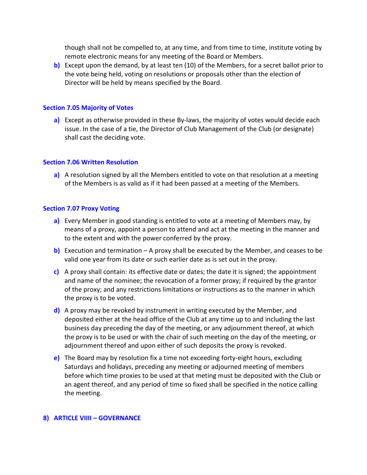though shall not be compelled to, at any time, and from time to time, institute voting by remote electronic means for any meeting of the Board or Members.

b) Except upon the demand, by at least ten (10) of the Members, for a secret ballot prior to the vote being held, voting on resolutions or proposals other than the election of Director will be held by means specified by the Board.

#### Section 7.05 Majority of Votes

a) Except as otherwise provided in these By-laws, the majority of votes would decide each issue. In the case of a tie, the Director of Club Management of the Club (or designate) shall cast the deciding vote.

#### Section 7.06 Written Resolution

a) A resolution signed by all the Members entitled to vote on that resolution at a meeting of the Members is as valid as if it had been passed at a meeting of the Members.

#### Section 7.07 Proxy Voting

- a) Every Member in good standing is entitled to vote at a meeting of Members may, by means of a proxy, appoint a person to attend and act at the meeting in the manner and to the extent and with the power conferred by the proxy.
- b) Execution and termination  $A$  proxy shall be executed by the Member, and ceases to be valid one year from its date or such earlier date as is set out in the proxy.
- c) A proxy shall contain: its effective date or dates; the date it is signed; the appointment and name of the nominee; the revocation of a former proxy; if required by the grantor of the proxy; and any restrictions limitations or instructions as to the manner in which the proxy is to be voted.
- d) A proxy may be revoked by instrument in writing executed by the Member, and deposited either at the head office of the Club at any time up to and including the last business day preceding the day of the meeting, or any adjournment thereof, at which the proxy is to be used or with the chair of such meeting on the day of the meeting, or adjournment thereof and upon either of such deposits the proxy is revoked.
- e) The Board may by resolution fix a time not exceeding forty-eight hours, excluding Saturdays and holidays, preceding any meeting or adjourned meeting of members before which time proxies to be used at that meting must be deposited with the Club or an agent thereof, and any period of time so fixed shall be specified in the notice calling the meeting.

## 8) ARTICLE VIIII - GOVERNANCE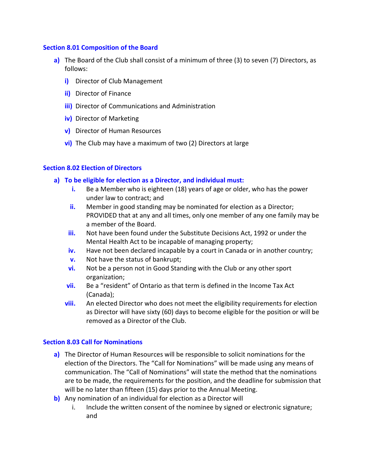## Section 8.01 Composition of the Board

- a) The Board of the Club shall consist of a minimum of three (3) to seven (7) Directors, as follows:
	- i) Director of Club Management
	- **ii)** Director of Finance
	- **iii)** Director of Communications and Administration
	- iv) Director of Marketing
	- v) Director of Human Resources
	- **vi)** The Club may have a maximum of two (2) Directors at large

## Section 8.02 Election of Directors

- a) To be eligible for election as a Director, and individual must:
	- i. Be a Member who is eighteen (18) years of age or older, who has the power under law to contract; and
	- ii. Member in good standing may be nominated for election as a Director; PROVIDED that at any and all times, only one member of any one family may be a member of the Board.
	- iii. Not have been found under the Substitute Decisions Act, 1992 or under the Mental Health Act to be incapable of managing property;
	- iv. Have not been declared incapable by a court in Canada or in another country;
	- v. Not have the status of bankrupt;
	- **vi.** Not be a person not in Good Standing with the Club or any other sport organization;
	- vii. Be a "resident" of Ontario as that term is defined in the Income Tax Act (Canada);
	- **viii.** An elected Director who does not meet the eligibility requirements for election as Director will have sixty (60) days to become eligible for the position or will be removed as a Director of the Club.

## Section 8.03 Call for Nominations

- a) The Director of Human Resources will be responsible to solicit nominations for the election of the Directors. The "Call for Nominations" will be made using any means of communication. The "Call of Nominations" will state the method that the nominations are to be made, the requirements for the position, and the deadline for submission that will be no later than fifteen (15) days prior to the Annual Meeting.
- b) Any nomination of an individual for election as a Director will
	- i. Include the written consent of the nominee by signed or electronic signature; and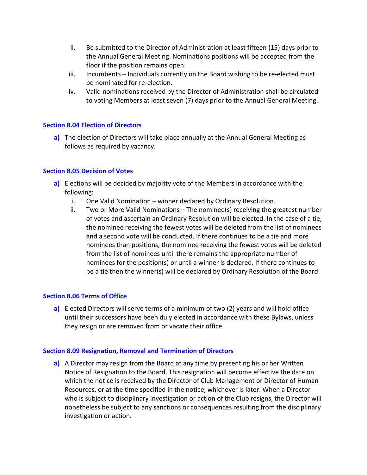- ii. Be submitted to the Director of Administration at least fifteen (15) days prior to the Annual General Meeting. Nominations positions will be accepted from the floor if the position remains open.
- iii. Incumbents Individuals currently on the Board wishing to be re-elected must be nominated for re-election.
- iv. Valid nominations received by the Director of Administration shall be circulated to voting Members at least seven (7) days prior to the Annual General Meeting.

# Section 8.04 Election of Directors

a) The election of Directors will take place annually at the Annual General Meeting as follows as required by vacancy.

## Section 8.05 Decision of Votes

- a) Elections will be decided by majority vote of the Members in accordance with the following:
	- i. One Valid Nomination winner declared by Ordinary Resolution.
	- ii. Two or More Valid Nominations The nominee(s) receiving the greatest number of votes and ascertain an Ordinary Resolution will be elected. In the case of a tie, the nominee receiving the fewest votes will be deleted from the list of nominees and a second vote will be conducted. If there continues to be a tie and more nominees than positions, the nominee receiving the fewest votes will be deleted from the list of nominees until there remains the appropriate number of nominees for the position(s) or until a winner is declared. If there continues to be a tie then the winner(s) will be declared by Ordinary Resolution of the Board

## Section 8.06 Terms of Office

a) Elected Directors will serve terms of a minimum of two (2) years and will hold office until their successors have been duly elected in accordance with these Bylaws, unless they resign or are removed from or vacate their office.

## Section 8.09 Resignation, Removal and Termination of Directors

a) A Director may resign from the Board at any time by presenting his or her Written Notice of Resignation to the Board. This resignation will become effective the date on which the notice is received by the Director of Club Management or Director of Human Resources, or at the time specified in the notice, whichever is later. When a Director who is subject to disciplinary investigation or action of the Club resigns, the Director will nonetheless be subject to any sanctions or consequences resulting from the disciplinary investigation or action.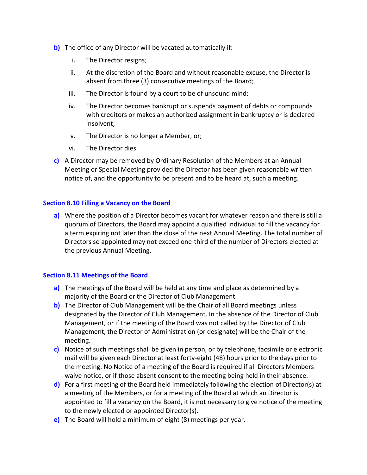- b) The office of any Director will be vacated automatically if:
	- i. The Director resigns;
	- ii. At the discretion of the Board and without reasonable excuse, the Director is absent from three (3) consecutive meetings of the Board;
	- iii. The Director is found by a court to be of unsound mind;
	- iv. The Director becomes bankrupt or suspends payment of debts or compounds with creditors or makes an authorized assignment in bankruptcy or is declared insolvent;
	- v. The Director is no longer a Member, or;
	- vi. The Director dies.
- c) A Director may be removed by Ordinary Resolution of the Members at an Annual Meeting or Special Meeting provided the Director has been given reasonable written notice of, and the opportunity to be present and to be heard at, such a meeting.

# Section 8.10 Filling a Vacancy on the Board

a) Where the position of a Director becomes vacant for whatever reason and there is still a quorum of Directors, the Board may appoint a qualified individual to fill the vacancy for a term expiring not later than the close of the next Annual Meeting. The total number of Directors so appointed may not exceed one-third of the number of Directors elected at the previous Annual Meeting.

## Section 8.11 Meetings of the Board

- a) The meetings of the Board will be held at any time and place as determined by a majority of the Board or the Director of Club Management.
- b) The Director of Club Management will be the Chair of all Board meetings unless designated by the Director of Club Management. In the absence of the Director of Club Management, or if the meeting of the Board was not called by the Director of Club Management, the Director of Administration (or designate) will be the Chair of the meeting.
- c) Notice of such meetings shall be given in person, or by telephone, facsimile or electronic mail will be given each Director at least forty-eight (48) hours prior to the days prior to the meeting. No Notice of a meeting of the Board is required if all Directors Members waive notice, or if those absent consent to the meeting being held in their absence.
- d) For a first meeting of the Board held immediately following the election of Director(s) at a meeting of the Members, or for a meeting of the Board at which an Director is appointed to fill a vacancy on the Board, it is not necessary to give notice of the meeting to the newly elected or appointed Director(s).
- e) The Board will hold a minimum of eight (8) meetings per year.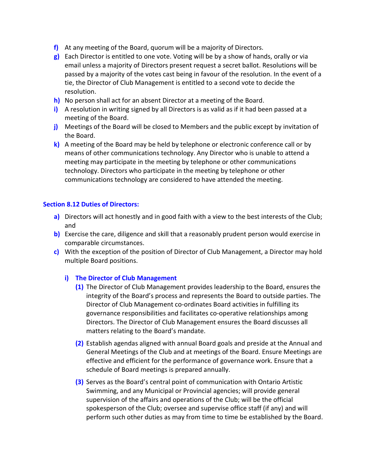- f) At any meeting of the Board, quorum will be a majority of Directors.
- $g$ ) Each Director is entitled to one vote. Voting will be by a show of hands, orally or via email unless a majority of Directors present request a secret ballot. Resolutions will be passed by a majority of the votes cast being in favour of the resolution. In the event of a tie, the Director of Club Management is entitled to a second vote to decide the resolution.
- h) No person shall act for an absent Director at a meeting of the Board.
- i) A resolution in writing signed by all Directors is as valid as if it had been passed at a meeting of the Board.
- j) Meetings of the Board will be closed to Members and the public except by invitation of the Board.
- k) A meeting of the Board may be held by telephone or electronic conference call or by means of other communications technology. Any Director who is unable to attend a meeting may participate in the meeting by telephone or other communications technology. Directors who participate in the meeting by telephone or other communications technology are considered to have attended the meeting.

# Section 8.12 Duties of Directors:

- a) Directors will act honestly and in good faith with a view to the best interests of the Club; and
- b) Exercise the care, diligence and skill that a reasonably prudent person would exercise in comparable circumstances.
- c) With the exception of the position of Director of Club Management, a Director may hold multiple Board positions.

# i) The Director of Club Management

- (1) The Director of Club Management provides leadership to the Board, ensures the integrity of the Board's process and represents the Board to outside parties. The Director of Club Management co-ordinates Board activities in fulfilling its governance responsibilities and facilitates co-operative relationships among Directors. The Director of Club Management ensures the Board discusses all matters relating to the Board's mandate.
- (2) Establish agendas aligned with annual Board goals and preside at the Annual and General Meetings of the Club and at meetings of the Board. Ensure Meetings are effective and efficient for the performance of governance work. Ensure that a schedule of Board meetings is prepared annually.
- (3) Serves as the Board's central point of communication with Ontario Artistic Swimming, and any Municipal or Provincial agencies; will provide general supervision of the affairs and operations of the Club; will be the official spokesperson of the Club; oversee and supervise office staff (if any) and will perform such other duties as may from time to time be established by the Board.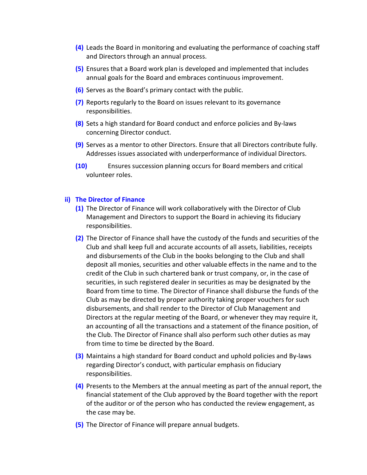- (4) Leads the Board in monitoring and evaluating the performance of coaching staff and Directors through an annual process.
- (5) Ensures that a Board work plan is developed and implemented that includes annual goals for the Board and embraces continuous improvement.
- (6) Serves as the Board's primary contact with the public.
- (7) Reports regularly to the Board on issues relevant to its governance responsibilities.
- (8) Sets a high standard for Board conduct and enforce policies and By-laws concerning Director conduct.
- (9) Serves as a mentor to other Directors. Ensure that all Directors contribute fully. Addresses issues associated with underperformance of individual Directors.
- (10) Ensures succession planning occurs for Board members and critical volunteer roles.

#### ii) The Director of Finance

- (1) The Director of Finance will work collaboratively with the Director of Club Management and Directors to support the Board in achieving its fiduciary responsibilities.
- (2) The Director of Finance shall have the custody of the funds and securities of the Club and shall keep full and accurate accounts of all assets, liabilities, receipts and disbursements of the Club in the books belonging to the Club and shall deposit all monies, securities and other valuable effects in the name and to the credit of the Club in such chartered bank or trust company, or, in the case of securities, in such registered dealer in securities as may be designated by the Board from time to time. The Director of Finance shall disburse the funds of the Club as may be directed by proper authority taking proper vouchers for such disbursements, and shall render to the Director of Club Management and Directors at the regular meeting of the Board, or whenever they may require it, an accounting of all the transactions and a statement of the finance position, of the Club. The Director of Finance shall also perform such other duties as may from time to time be directed by the Board.
- (3) Maintains a high standard for Board conduct and uphold policies and By-laws regarding Director's conduct, with particular emphasis on fiduciary responsibilities.
- (4) Presents to the Members at the annual meeting as part of the annual report, the financial statement of the Club approved by the Board together with the report of the auditor or of the person who has conducted the review engagement, as the case may be.
- (5) The Director of Finance will prepare annual budgets.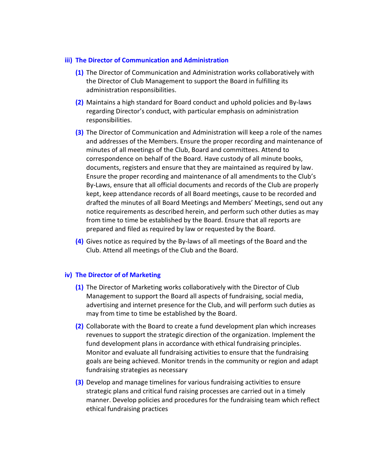#### iii) The Director of Communication and Administration

- (1) The Director of Communication and Administration works collaboratively with the Director of Club Management to support the Board in fulfilling its administration responsibilities.
- (2) Maintains a high standard for Board conduct and uphold policies and By-laws regarding Director's conduct, with particular emphasis on administration responsibilities.
- (3) The Director of Communication and Administration will keep a role of the names and addresses of the Members. Ensure the proper recording and maintenance of minutes of all meetings of the Club, Board and committees. Attend to correspondence on behalf of the Board. Have custody of all minute books, documents, registers and ensure that they are maintained as required by law. Ensure the proper recording and maintenance of all amendments to the Club's By-Laws, ensure that all official documents and records of the Club are properly kept, keep attendance records of all Board meetings, cause to be recorded and drafted the minutes of all Board Meetings and Members' Meetings, send out any notice requirements as described herein, and perform such other duties as may from time to time be established by the Board. Ensure that all reports are prepared and filed as required by law or requested by the Board.
- (4) Gives notice as required by the By-laws of all meetings of the Board and the Club. Attend all meetings of the Club and the Board.

#### iv) The Director of of Marketing

- (1) The Director of Marketing works collaboratively with the Director of Club Management to support the Board all aspects of fundraising, social media, advertising and internet presence for the Club, and will perform such duties as may from time to time be established by the Board.
- (2) Collaborate with the Board to create a fund development plan which increases revenues to support the strategic direction of the organization. Implement the fund development plans in accordance with ethical fundraising principles. Monitor and evaluate all fundraising activities to ensure that the fundraising goals are being achieved. Monitor trends in the community or region and adapt fundraising strategies as necessary
- (3) Develop and manage timelines for various fundraising activities to ensure strategic plans and critical fund raising processes are carried out in a timely manner. Develop policies and procedures for the fundraising team which reflect ethical fundraising practices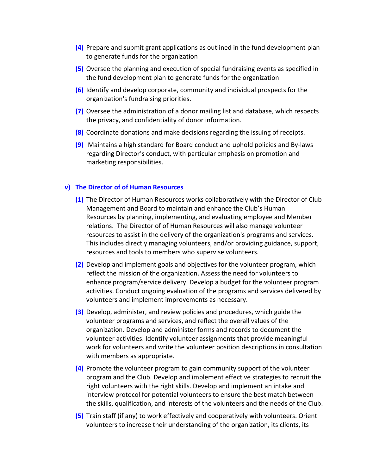- (4) Prepare and submit grant applications as outlined in the fund development plan to generate funds for the organization
- (5) Oversee the planning and execution of special fundraising events as specified in the fund development plan to generate funds for the organization
- (6) Identify and develop corporate, community and individual prospects for the organization's fundraising priorities.
- (7) Oversee the administration of a donor mailing list and database, which respects the privacy, and confidentiality of donor information.
- (8) Coordinate donations and make decisions regarding the issuing of receipts.
- (9) Maintains a high standard for Board conduct and uphold policies and By-laws regarding Director's conduct, with particular emphasis on promotion and marketing responsibilities.

#### v) The Director of of Human Resources

- (1) The Director of Human Resources works collaboratively with the Director of Club Management and Board to maintain and enhance the Club's Human Resources by planning, implementing, and evaluating employee and Member relations. The Director of of Human Resources will also manage volunteer resources to assist in the delivery of the organization's programs and services. This includes directly managing volunteers, and/or providing guidance, support, resources and tools to members who supervise volunteers.
- (2) Develop and implement goals and objectives for the volunteer program, which reflect the mission of the organization. Assess the need for volunteers to enhance program/service delivery. Develop a budget for the volunteer program activities. Conduct ongoing evaluation of the programs and services delivered by volunteers and implement improvements as necessary.
- (3) Develop, administer, and review policies and procedures, which guide the volunteer programs and services, and reflect the overall values of the organization. Develop and administer forms and records to document the volunteer activities. Identify volunteer assignments that provide meaningful work for volunteers and write the volunteer position descriptions in consultation with members as appropriate.
- (4) Promote the volunteer program to gain community support of the volunteer program and the Club. Develop and implement effective strategies to recruit the right volunteers with the right skills. Develop and implement an intake and interview protocol for potential volunteers to ensure the best match between the skills, qualification, and interests of the volunteers and the needs of the Club.
- (5) Train staff (if any) to work effectively and cooperatively with volunteers. Orient volunteers to increase their understanding of the organization, its clients, its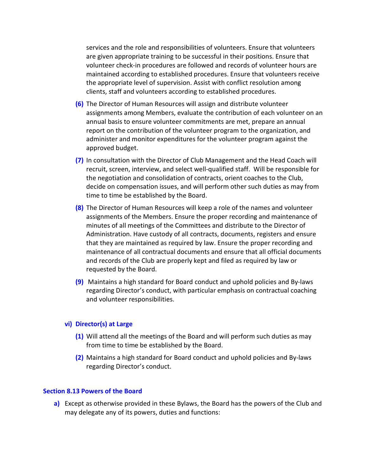services and the role and responsibilities of volunteers. Ensure that volunteers are given appropriate training to be successful in their positions. Ensure that volunteer check-in procedures are followed and records of volunteer hours are maintained according to established procedures. Ensure that volunteers receive the appropriate level of supervision. Assist with conflict resolution among clients, staff and volunteers according to established procedures.

- (6) The Director of Human Resources will assign and distribute volunteer assignments among Members, evaluate the contribution of each volunteer on an annual basis to ensure volunteer commitments are met, prepare an annual report on the contribution of the volunteer program to the organization, and administer and monitor expenditures for the volunteer program against the approved budget.
- (7) In consultation with the Director of Club Management and the Head Coach will recruit, screen, interview, and select well-qualified staff. Will be responsible for the negotiation and consolidation of contracts, orient coaches to the Club, decide on compensation issues, and will perform other such duties as may from time to time be established by the Board.
- (8) The Director of Human Resources will keep a role of the names and volunteer assignments of the Members. Ensure the proper recording and maintenance of minutes of all meetings of the Committees and distribute to the Director of Administration. Have custody of all contracts, documents, registers and ensure that they are maintained as required by law. Ensure the proper recording and maintenance of all contractual documents and ensure that all official documents and records of the Club are properly kept and filed as required by law or requested by the Board.
- (9) Maintains a high standard for Board conduct and uphold policies and By-laws regarding Director's conduct, with particular emphasis on contractual coaching and volunteer responsibilities.

#### vi) Director(s) at Large

- (1) Will attend all the meetings of the Board and will perform such duties as may from time to time be established by the Board.
- (2) Maintains a high standard for Board conduct and uphold policies and By-laws regarding Director's conduct.

#### Section 8.13 Powers of the Board

a) Except as otherwise provided in these Bylaws, the Board has the powers of the Club and may delegate any of its powers, duties and functions: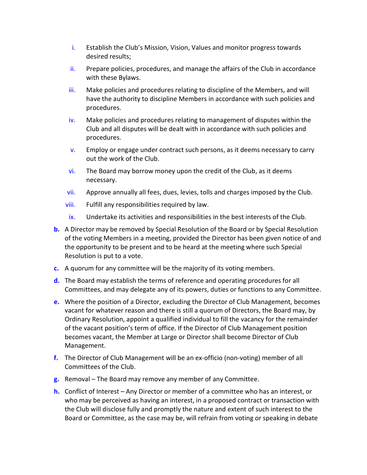- i. Establish the Club's Mission, Vision, Values and monitor progress towards desired results;
- ii. Prepare policies, procedures, and manage the affairs of the Club in accordance with these Bylaws.
- iii. Make policies and procedures relating to discipline of the Members, and will have the authority to discipline Members in accordance with such policies and procedures.
- iv. Make policies and procedures relating to management of disputes within the Club and all disputes will be dealt with in accordance with such policies and procedures.
- $\mathbf{v}$ . Employ or engage under contract such persons, as it deems necessary to carry out the work of the Club.
- vi. The Board may borrow money upon the credit of the Club, as it deems necessary.
- vii. Approve annually all fees, dues, levies, tolls and charges imposed by the Club.
- viii. Fulfill any responsibilities required by law.
- ix. Undertake its activities and responsibilities in the best interests of the Club.
- **b.** A Director may be removed by Special Resolution of the Board or by Special Resolution of the voting Members in a meeting, provided the Director has been given notice of and the opportunity to be present and to be heard at the meeting where such Special Resolution is put to a vote.
- c. A quorum for any committee will be the majority of its voting members.
- d. The Board may establish the terms of reference and operating procedures for all Committees, and may delegate any of its powers, duties or functions to any Committee.
- e. Where the position of a Director, excluding the Director of Club Management, becomes vacant for whatever reason and there is still a quorum of Directors, the Board may, by Ordinary Resolution, appoint a qualified individual to fill the vacancy for the remainder of the vacant position's term of office. If the Director of Club Management position becomes vacant, the Member at Large or Director shall become Director of Club Management.
- f. The Director of Club Management will be an ex-officio (non-voting) member of all Committees of the Club.
- g. Removal The Board may remove any member of any Committee.
- h. Conflict of Interest Any Director or member of a committee who has an interest, or who may be perceived as having an interest, in a proposed contract or transaction with the Club will disclose fully and promptly the nature and extent of such interest to the Board or Committee, as the case may be, will refrain from voting or speaking in debate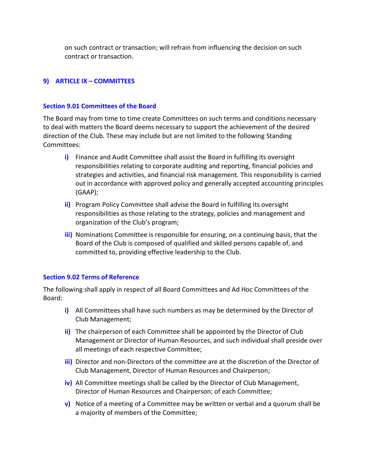on such contract or transaction; will refrain from influencing the decision on such contract or transaction.

# 9) ARTICLE IX – COMMITTEES

## Section 9.01 Committees of the Board

The Board may from time to time create Committees on such terms and conditions necessary to deal with matters the Board deems necessary to support the achievement of the desired direction of the Club. These may include but are not limited to the following Standing Committees:

- i) Finance and Audit Committee shall assist the Board in fulfilling its oversight responsibilities relating to corporate auditing and reporting, financial policies and strategies and activities, and financial risk management. This responsibility is carried out in accordance with approved policy and generally accepted accounting principles (GAAP);
- ii) Program Policy Committee shall advise the Board in fulfilling its oversight responsibilities as those relating to the strategy, policies and management and organization of the Club's program;
- iii) Nominations Committee is responsible for ensuring, on a continuing basis, that the Board of the Club is composed of qualified and skilled persons capable of, and committed to, providing effective leadership to the Club.

# Section 9.02 Terms of Reference

The following shall apply in respect of all Board Committees and Ad Hoc Committees of the Board:

- i) All Committees shall have such numbers as may be determined by the Director of Club Management;
- ii) The chairperson of each Committee shall be appointed by the Director of Club Management or Director of Human Resources, and such individual shall preside over all meetings of each respective Committee;
- iii) Director and non-Directors of the committee are at the discretion of the Director of Club Management, Director of Human Resources and Chairperson;
- iv) All Committee meetings shall be called by the Director of Club Management, Director of Human Resources and Chairperson; of each Committee;
- $\mathbf{v}$ ) Notice of a meeting of a Committee may be written or verbal and a quorum shall be a majority of members of the Committee;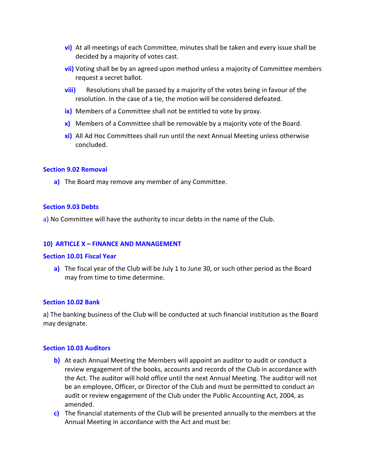- vi) At all meetings of each Committee, minutes shall be taken and every issue shall be decided by a majority of votes cast.
- vii) Voting shall be by an agreed upon method unless a majority of Committee members request a secret ballot.
- viii) Resolutions shall be passed by a majority of the votes being in favour of the resolution. In the case of a tie, the motion will be considered defeated.
- ix) Members of a Committee shall not be entitled to vote by proxy.
- $x$ ) Members of a Committee shall be removable by a majority vote of the Board.
- xi) All Ad Hoc Committees shall run until the next Annual Meeting unless otherwise concluded.

#### Section 9.02 Removal

a) The Board may remove any member of any Committee.

#### Section 9.03 Debts

a) No Committee will have the authority to incur debts in the name of the Club.

## 10) ARTICLE X – FINANCE AND MANAGEMENT

#### Section 10.01 Fiscal Year

a) The fiscal year of the Club will be July 1 to June 30, or such other period as the Board may from time to time determine.

#### Section 10.02 Bank

a) The banking business of the Club will be conducted at such financial institution as the Board may designate.

#### Section 10.03 Auditors

- b) At each Annual Meeting the Members will appoint an auditor to audit or conduct a review engagement of the books, accounts and records of the Club in accordance with the Act. The auditor will hold office until the next Annual Meeting. The auditor will not be an employee, Officer, or Director of the Club and must be permitted to conduct an audit or review engagement of the Club under the Public Accounting Act, 2004, as amended.
- c) The financial statements of the Club will be presented annually to the members at the Annual Meeting in accordance with the Act and must be: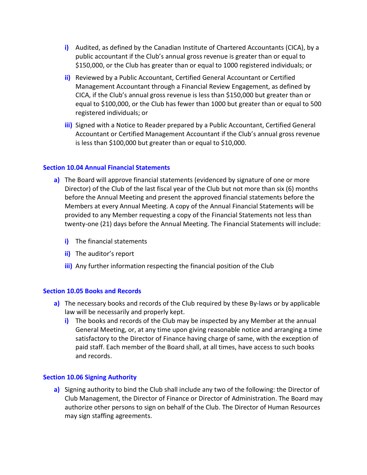- i) Audited, as defined by the Canadian Institute of Chartered Accountants (CICA), by a public accountant if the Club's annual gross revenue is greater than or equal to \$150,000, or the Club has greater than or equal to 1000 registered individuals; or
- ii) Reviewed by a Public Accountant, Certified General Accountant or Certified Management Accountant through a Financial Review Engagement, as defined by CICA, if the Club's annual gross revenue is less than \$150,000 but greater than or equal to \$100,000, or the Club has fewer than 1000 but greater than or equal to 500 registered individuals; or
- iii) Signed with a Notice to Reader prepared by a Public Accountant, Certified General Accountant or Certified Management Accountant if the Club's annual gross revenue is less than \$100,000 but greater than or equal to \$10,000.

## Section 10.04 Annual Financial Statements

- a) The Board will approve financial statements (evidenced by signature of one or more Director) of the Club of the last fiscal year of the Club but not more than six (6) months before the Annual Meeting and present the approved financial statements before the Members at every Annual Meeting. A copy of the Annual Financial Statements will be provided to any Member requesting a copy of the Financial Statements not less than twenty-one (21) days before the Annual Meeting. The Financial Statements will include:
	- i) The financial statements
	- ii) The auditor's report
	- **iii)** Any further information respecting the financial position of the Club

## Section 10.05 Books and Records

- a) The necessary books and records of the Club required by these By-laws or by applicable law will be necessarily and properly kept.
	- i) The books and records of the Club may be inspected by any Member at the annual General Meeting, or, at any time upon giving reasonable notice and arranging a time satisfactory to the Director of Finance having charge of same, with the exception of paid staff. Each member of the Board shall, at all times, have access to such books and records.

# Section 10.06 Signing Authority

a) Signing authority to bind the Club shall include any two of the following: the Director of Club Management, the Director of Finance or Director of Administration. The Board may authorize other persons to sign on behalf of the Club. The Director of Human Resources may sign staffing agreements.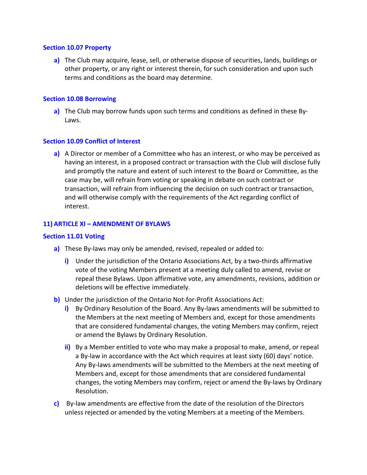#### Section 10.07 Property

a) The Club may acquire, lease, sell, or otherwise dispose of securities, lands, buildings or other property, or any right or interest therein, for such consideration and upon such terms and conditions as the board may determine.

## Section 10.08 Borrowing

a) The Club may borrow funds upon such terms and conditions as defined in these By-Laws.

#### Section 10.09 Conflict of Interest

a) A Director or member of a Committee who has an interest, or who may be perceived as having an interest, in a proposed contract or transaction with the Club will disclose fully and promptly the nature and extent of such interest to the Board or Committee, as the case may be, will refrain from voting or speaking in debate on such contract or transaction, will refrain from influencing the decision on such contract or transaction, and will otherwise comply with the requirements of the Act regarding conflict of interest.

## 11) ARTICLE XI – AMENDMENT OF BYLAWS

#### Section 11.01 Voting

- a) These By-laws may only be amended, revised, repealed or added to:
	- i) Under the jurisdiction of the Ontario Associations Act, by a two-thirds affirmative vote of the voting Members present at a meeting duly called to amend, revise or repeal these Bylaws. Upon affirmative vote, any amendments, revisions, addition or deletions will be effective immediately.
- b) Under the jurisdiction of the Ontario Not-for-Profit Associations Act:
	- i) By Ordinary Resolution of the Board. Any By-laws amendments will be submitted to the Members at the next meeting of Members and, except for those amendments that are considered fundamental changes, the voting Members may confirm, reject or amend the Bylaws by Ordinary Resolution.
	- ii) By a Member entitled to vote who may make a proposal to make, amend, or repeal a By-law in accordance with the Act which requires at least sixty (60) days' notice. Any By-laws amendments will be submitted to the Members at the next meeting of Members and, except for those amendments that are considered fundamental changes, the voting Members may confirm, reject or amend the By-laws by Ordinary Resolution.
- c) By-law amendments are effective from the date of the resolution of the Directors unless rejected or amended by the voting Members at a meeting of the Members.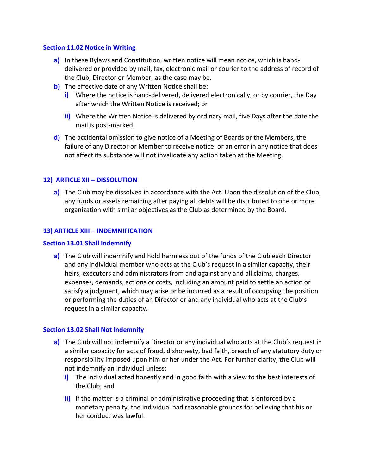#### Section 11.02 Notice in Writing

- a) In these Bylaws and Constitution, written notice will mean notice, which is handdelivered or provided by mail, fax, electronic mail or courier to the address of record of the Club, Director or Member, as the case may be.
- b) The effective date of any Written Notice shall be:
	- i) Where the notice is hand-delivered, delivered electronically, or by courier, the Day after which the Written Notice is received; or
	- ii) Where the Written Notice is delivered by ordinary mail, five Days after the date the mail is post-marked.
- d) The accidental omission to give notice of a Meeting of Boards or the Members, the failure of any Director or Member to receive notice, or an error in any notice that does not affect its substance will not invalidate any action taken at the Meeting.

# 12) ARTICLE XII – DISSOLUTION

a) The Club may be dissolved in accordance with the Act. Upon the dissolution of the Club, any funds or assets remaining after paying all debts will be distributed to one or more organization with similar objectives as the Club as determined by the Board.

# 13) ARTICLE XIII – INDEMNIFICATION

## Section 13.01 Shall Indemnify

a) The Club will indemnify and hold harmless out of the funds of the Club each Director and any individual member who acts at the Club's request in a similar capacity, their heirs, executors and administrators from and against any and all claims, charges, expenses, demands, actions or costs, including an amount paid to settle an action or satisfy a judgment, which may arise or be incurred as a result of occupying the position or performing the duties of an Director or and any individual who acts at the Club's request in a similar capacity.

## Section 13.02 Shall Not Indemnify

- a) The Club will not indemnify a Director or any individual who acts at the Club's request in a similar capacity for acts of fraud, dishonesty, bad faith, breach of any statutory duty or responsibility imposed upon him or her under the Act. For further clarity, the Club will not indemnify an individual unless:
	- i) The individual acted honestly and in good faith with a view to the best interests of the Club; and
	- ii) If the matter is a criminal or administrative proceeding that is enforced by a monetary penalty, the individual had reasonable grounds for believing that his or her conduct was lawful.